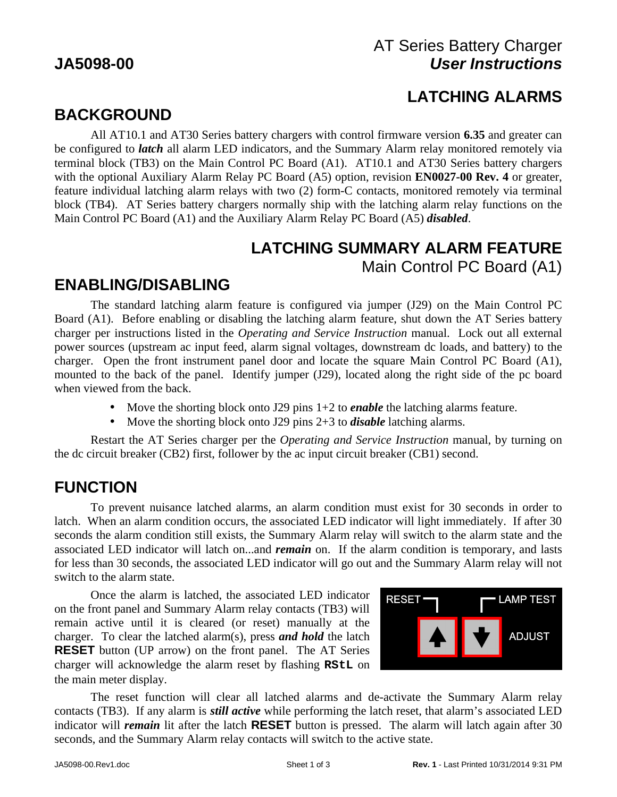## AT Series Battery Charger **JA5098-00** *User Instructions*

# **LATCHING ALARMS**

# **BACKGROUND**

All AT10.1 and AT30 Series battery chargers with control firmware version **6.35** and greater can be configured to *latch* all alarm LED indicators, and the Summary Alarm relay monitored remotely via terminal block (TB3) on the Main Control PC Board (A1). AT10.1 and AT30 Series battery chargers with the optional Auxiliary Alarm Relay PC Board (A5) option, revision **EN0027-00 Rev. 4** or greater, feature individual latching alarm relays with two (2) form-C contacts, monitored remotely via terminal block (TB4). AT Series battery chargers normally ship with the latching alarm relay functions on the Main Control PC Board (A1) and the Auxiliary Alarm Relay PC Board (A5) *disabled*.

#### **LATCHING SUMMARY ALARM FEATURE** Main Control PC Board (A1)

## **ENABLING/DISABLING**

The standard latching alarm feature is configured via jumper (J29) on the Main Control PC Board (A1). Before enabling or disabling the latching alarm feature, shut down the AT Series battery charger per instructions listed in the *Operating and Service Instruction* manual. Lock out all external power sources (upstream ac input feed, alarm signal voltages, downstream dc loads, and battery) to the charger. Open the front instrument panel door and locate the square Main Control PC Board (A1), mounted to the back of the panel. Identify jumper (J29), located along the right side of the pc board when viewed from the back.

- Move the shorting block onto J29 pins 1+2 to *enable* the latching alarms feature.
- Move the shorting block onto J29 pins 2+3 to *disable* latching alarms.

Restart the AT Series charger per the *Operating and Service Instruction* manual, by turning on the dc circuit breaker (CB2) first, follower by the ac input circuit breaker (CB1) second.

## **FUNCTION**

To prevent nuisance latched alarms, an alarm condition must exist for 30 seconds in order to latch. When an alarm condition occurs, the associated LED indicator will light immediately. If after 30 seconds the alarm condition still exists, the Summary Alarm relay will switch to the alarm state and the associated LED indicator will latch on...and *remain* on. If the alarm condition is temporary, and lasts for less than 30 seconds, the associated LED indicator will go out and the Summary Alarm relay will not switch to the alarm state.

Once the alarm is latched, the associated LED indicator on the front panel and Summary Alarm relay contacts (TB3) will remain active until it is cleared (or reset) manually at the charger. To clear the latched alarm(s), press *and hold* the latch **RESET** button (UP arrow) on the front panel. The AT Series charger will acknowledge the alarm reset by flashing **RStL** on the main meter display.



The reset function will clear all latched alarms and de-activate the Summary Alarm relay contacts (TB3). If any alarm is *still active* while performing the latch reset, that alarm's associated LED indicator will *remain* lit after the latch **RESET** button is pressed. The alarm will latch again after 30 seconds, and the Summary Alarm relay contacts will switch to the active state.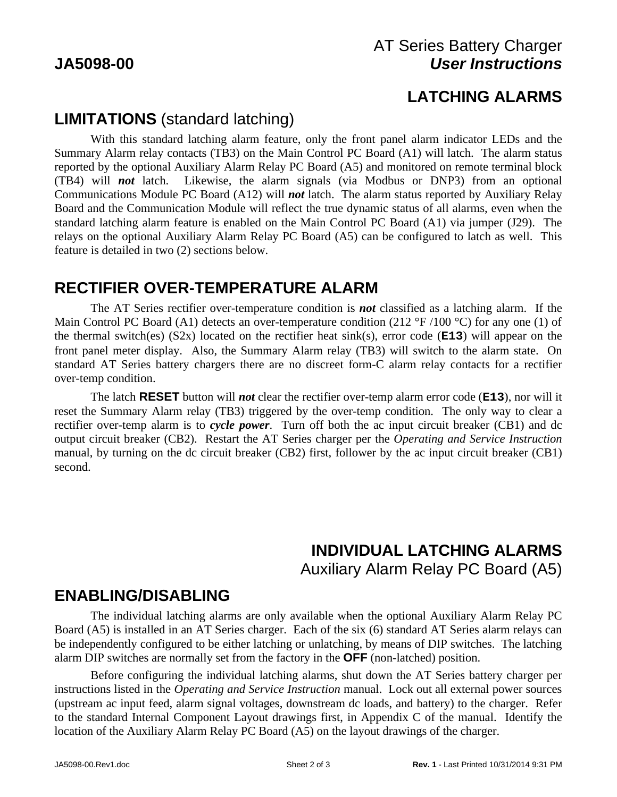## AT Series Battery Charger **JA5098-00** *User Instructions*

## **LATCHING ALARMS**

## **LIMITATIONS** (standard latching)

With this standard latching alarm feature, only the front panel alarm indicator LEDs and the Summary Alarm relay contacts (TB3) on the Main Control PC Board (A1) will latch. The alarm status reported by the optional Auxiliary Alarm Relay PC Board (A5) and monitored on remote terminal block (TB4) will *not* latch. Likewise, the alarm signals (via Modbus or DNP3) from an optional Communications Module PC Board (A12) will *not* latch. The alarm status reported by Auxiliary Relay Board and the Communication Module will reflect the true dynamic status of all alarms, even when the standard latching alarm feature is enabled on the Main Control PC Board (A1) via jumper (J29). The relays on the optional Auxiliary Alarm Relay PC Board (A5) can be configured to latch as well. This feature is detailed in two (2) sections below.

### **RECTIFIER OVER-TEMPERATURE ALARM**

The AT Series rectifier over-temperature condition is *not* classified as a latching alarm. If the Main Control PC Board (A1) detects an over-temperature condition (212  $\degree$ F /100  $\degree$ C) for any one (1) of the thermal switch(es) (S2x) located on the rectifier heat sink(s), error code (**E13**) will appear on the front panel meter display. Also, the Summary Alarm relay (TB3) will switch to the alarm state. On standard AT Series battery chargers there are no discreet form-C alarm relay contacts for a rectifier over-temp condition.

The latch **RESET** button will *not* clear the rectifier over-temp alarm error code (**E13**), nor will it reset the Summary Alarm relay (TB3) triggered by the over-temp condition. The only way to clear a rectifier over-temp alarm is to *cycle power*. Turn off both the ac input circuit breaker (CB1) and dc output circuit breaker (CB2). Restart the AT Series charger per the *Operating and Service Instruction* manual, by turning on the dc circuit breaker (CB2) first, follower by the ac input circuit breaker (CB1) second.

### **INDIVIDUAL LATCHING ALARMS** Auxiliary Alarm Relay PC Board (A5)

## **ENABLING/DISABLING**

The individual latching alarms are only available when the optional Auxiliary Alarm Relay PC Board (A5) is installed in an AT Series charger. Each of the six (6) standard AT Series alarm relays can be independently configured to be either latching or unlatching, by means of DIP switches. The latching alarm DIP switches are normally set from the factory in the **OFF** (non-latched) position.

Before configuring the individual latching alarms, shut down the AT Series battery charger per instructions listed in the *Operating and Service Instruction* manual. Lock out all external power sources (upstream ac input feed, alarm signal voltages, downstream dc loads, and battery) to the charger. Refer to the standard Internal Component Layout drawings first, in Appendix C of the manual. Identify the location of the Auxiliary Alarm Relay PC Board (A5) on the layout drawings of the charger.